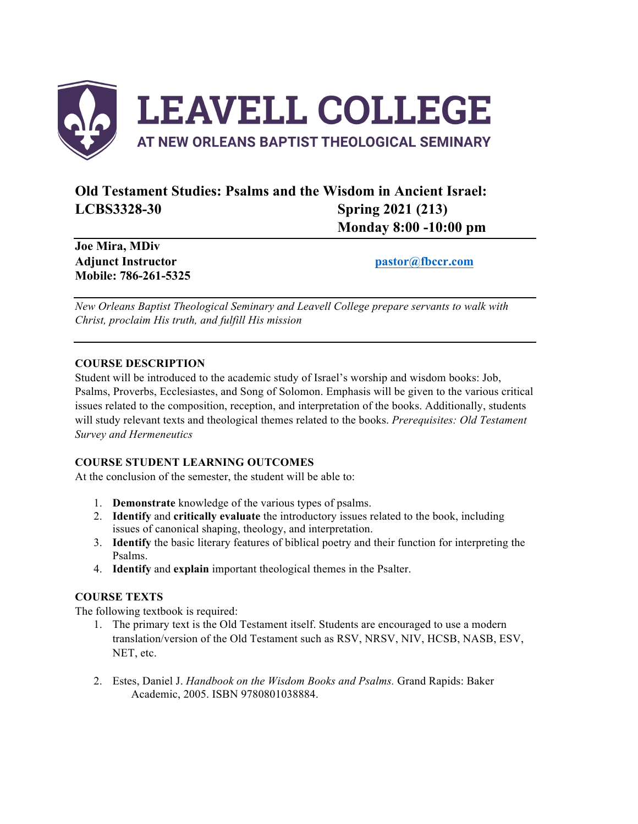

# **Old Testament Studies: Psalms and the Wisdom in Ancient Israel: LCBS3328-30 Spring 2021 (213) Monday 8:00 -10:00 pm**

**Joe Mira, MDiv Adjunct Instructor pastor@fbccr.com Mobile: 786-261-5325**

*New Orleans Baptist Theological Seminary and Leavell College prepare servants to walk with Christ, proclaim His truth, and fulfill His mission*

# **COURSE DESCRIPTION**

Student will be introduced to the academic study of Israel's worship and wisdom books: Job, Psalms, Proverbs, Ecclesiastes, and Song of Solomon. Emphasis will be given to the various critical issues related to the composition, reception, and interpretation of the books. Additionally, students will study relevant texts and theological themes related to the books. *Prerequisites: Old Testament Survey and Hermeneutics*

# **COURSE STUDENT LEARNING OUTCOMES**

At the conclusion of the semester, the student will be able to:

- 1. **Demonstrate** knowledge of the various types of psalms.
- 2. **Identify** and **critically evaluate** the introductory issues related to the book, including issues of canonical shaping, theology, and interpretation.
- 3. **Identify** the basic literary features of biblical poetry and their function for interpreting the Psalms.
- 4. **Identify** and **explain** important theological themes in the Psalter.

# **COURSE TEXTS**

The following textbook is required:

- 1. The primary text is the Old Testament itself. Students are encouraged to use a modern translation/version of the Old Testament such as RSV, NRSV, NIV, HCSB, NASB, ESV, NET, etc.
- 2. Estes, Daniel J. *Handbook on the Wisdom Books and Psalms.* Grand Rapids: Baker Academic, 2005. ISBN 9780801038884.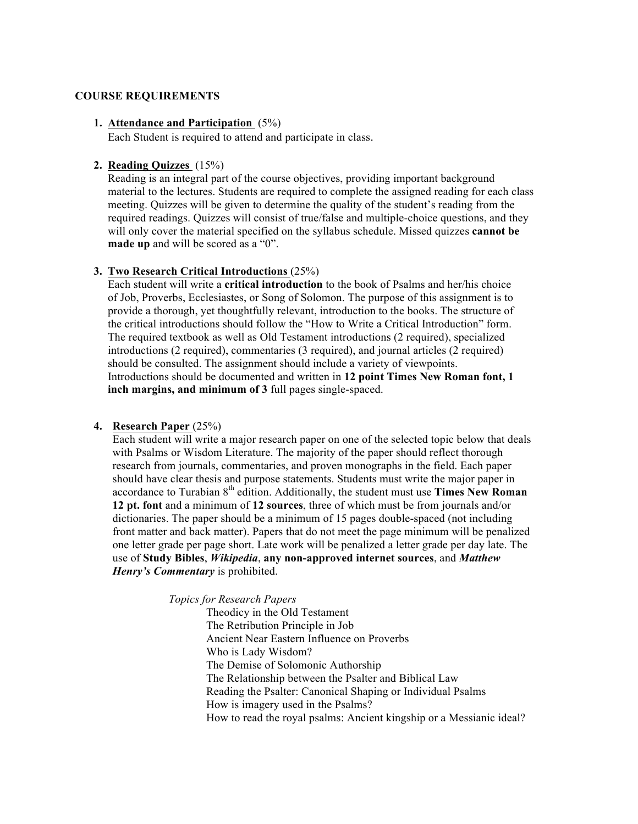#### **COURSE REQUIREMENTS**

#### **1. Attendance and Participation** (5%)

Each Student is required to attend and participate in class.

#### **2. Reading Quizzes** (15%)

Reading is an integral part of the course objectives, providing important background material to the lectures. Students are required to complete the assigned reading for each class meeting. Quizzes will be given to determine the quality of the student's reading from the required readings. Quizzes will consist of true/false and multiple-choice questions, and they will only cover the material specified on the syllabus schedule. Missed quizzes **cannot be made up** and will be scored as a "0".

# **3. Two Research Critical Introductions** (25%)

Each student will write a **critical introduction** to the book of Psalms and her/his choice of Job, Proverbs, Ecclesiastes, or Song of Solomon. The purpose of this assignment is to provide a thorough, yet thoughtfully relevant, introduction to the books. The structure of the critical introductions should follow the "How to Write a Critical Introduction" form. The required textbook as well as Old Testament introductions (2 required), specialized introductions (2 required), commentaries (3 required), and journal articles (2 required) should be consulted. The assignment should include a variety of viewpoints. Introductions should be documented and written in **12 point Times New Roman font, 1 inch margins, and minimum of 3** full pages single-spaced.

#### **4. Research Paper** (25%)

Each student will write a major research paper on one of the selected topic below that deals with Psalms or Wisdom Literature. The majority of the paper should reflect thorough research from journals, commentaries, and proven monographs in the field. Each paper should have clear thesis and purpose statements. Students must write the major paper in accordance to Turabian 8<sup>th</sup> edition. Additionally, the student must use **Times New Roman 12 pt. font** and a minimum of **12 sources**, three of which must be from journals and/or dictionaries. The paper should be a minimum of 15 pages double-spaced (not including front matter and back matter). Papers that do not meet the page minimum will be penalized one letter grade per page short. Late work will be penalized a letter grade per day late. The use of **Study Bibles**, *Wikipedia*, **any non-approved internet sources**, and *Matthew Henry's Commentary* is prohibited.

*Topics for Research Papers*

Theodicy in the Old Testament The Retribution Principle in Job Ancient Near Eastern Influence on Proverbs Who is Lady Wisdom? The Demise of Solomonic Authorship The Relationship between the Psalter and Biblical Law Reading the Psalter: Canonical Shaping or Individual Psalms How is imagery used in the Psalms? How to read the royal psalms: Ancient kingship or a Messianic ideal?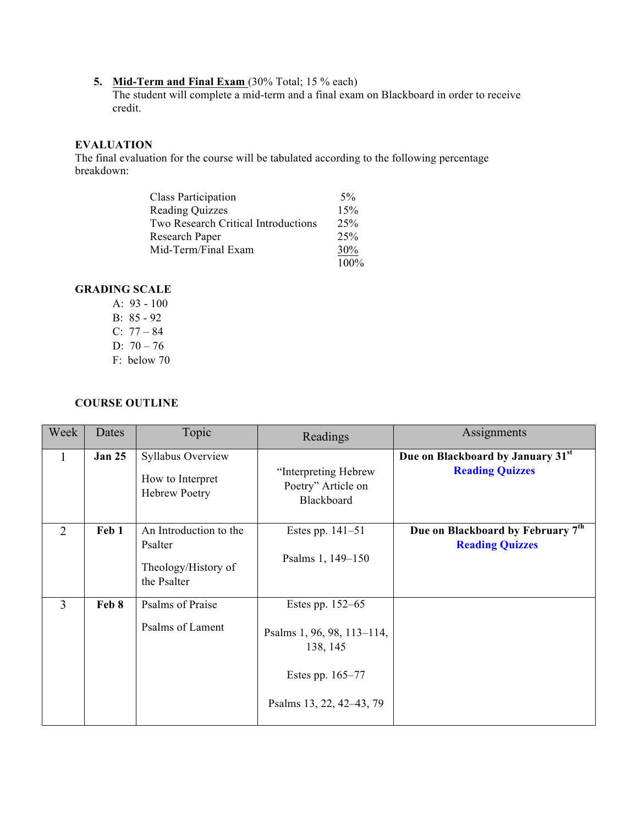# **5. Mid-Term and Final Exam** (30% Total; 15 % each)

The student will complete a mid-term and a final exam on Blackboard in order to receive credit.

# **EVALUATION**

The final evaluation for the course will be tabulated according to the following percentage breakdown:

| <b>Class Participation</b>          | $5\%$   |
|-------------------------------------|---------|
| <b>Reading Quizzes</b>              | 15%     |
| Two Research Critical Introductions | 25%     |
| Research Paper                      | 25%     |
| Mid-Term/Final Exam                 | 30%     |
|                                     | $100\%$ |

# **GRADING SCALE**

A: 93 - 100 B: 85 - 92 C: 77 – 84 D:  $70 - 76$ F: below 70

# **COURSE OUTLINE**

| Week           | Dates         | Topic                                                                   | Readings                                                                                                   | Assignments                                                 |
|----------------|---------------|-------------------------------------------------------------------------|------------------------------------------------------------------------------------------------------------|-------------------------------------------------------------|
| $\mathbf{1}$   | <b>Jan 25</b> | Syllabus Overview<br>How to Interpret<br><b>Hebrew Poetry</b>           | "Interpreting Hebrew<br>Poetry" Article on<br>Blackboard                                                   | Due on Blackboard by January 31st<br><b>Reading Quizzes</b> |
| $\overline{2}$ | Feb 1         | An Introduction to the<br>Psalter<br>Theology/History of<br>the Psalter | Estes pp. $141-51$<br>Psalms 1, 149-150                                                                    | Due on Blackboard by February 7th<br><b>Reading Quizzes</b> |
| $\overline{3}$ | Feb 8         | Psalms of Praise<br>Psalms of Lament                                    | Estes pp. 152–65<br>Psalms 1, 96, 98, 113-114,<br>138, 145<br>Estes pp. 165–77<br>Psalms 13, 22, 42–43, 79 |                                                             |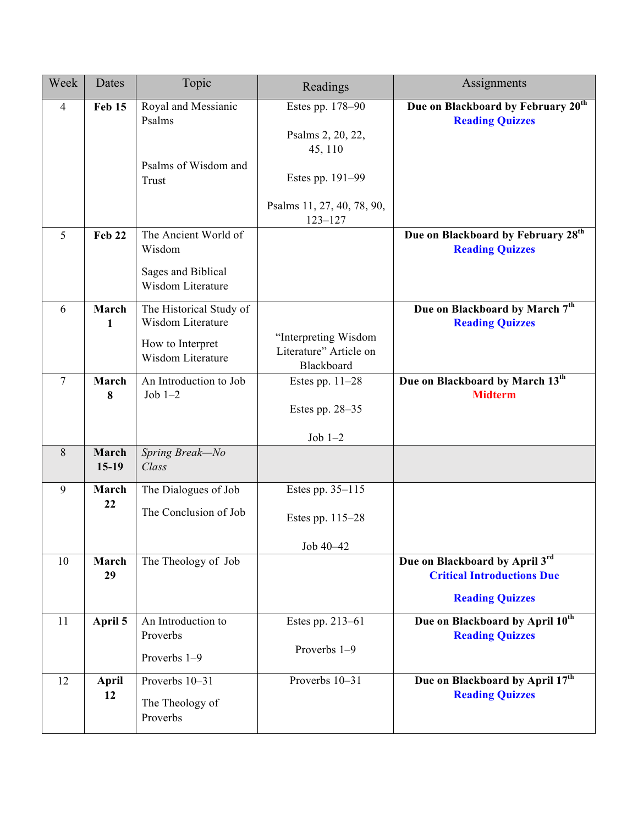| Week            | Dates                 | Topic                                         | Readings                                                     | Assignments                                                              |
|-----------------|-----------------------|-----------------------------------------------|--------------------------------------------------------------|--------------------------------------------------------------------------|
| $\overline{4}$  | <b>Feb 15</b>         | Royal and Messianic<br>Psalms                 | Estes pp. 178-90<br>Psalms 2, 20, 22,<br>45, 110             | Due on Blackboard by February 20 <sup>th</sup><br><b>Reading Quizzes</b> |
|                 |                       | Psalms of Wisdom and<br>Trust                 | Estes pp. 191-99                                             |                                                                          |
|                 |                       |                                               | Psalms 11, 27, 40, 78, 90,<br>$123 - 127$                    |                                                                          |
| 5               | <b>Feb 22</b>         | The Ancient World of<br>Wisdom                |                                                              | Due on Blackboard by February 28 <sup>th</sup><br><b>Reading Quizzes</b> |
|                 |                       | Sages and Biblical<br>Wisdom Literature       |                                                              |                                                                          |
| 6               | March<br>$\mathbf{1}$ | The Historical Study of<br>Wisdom Literature  |                                                              | Due on Blackboard by March 7th<br><b>Reading Quizzes</b>                 |
|                 |                       | How to Interpret<br>Wisdom Literature         | "Interpreting Wisdom<br>Literature" Article on<br>Blackboard |                                                                          |
| $7\phantom{.0}$ | March<br>8            | An Introduction to Job<br>Job $1-2$           | Estes pp. $11-28$<br>Estes pp. $28-35$                       | Due on Blackboard by March 13th<br><b>Midterm</b>                        |
|                 |                       |                                               | Job $1-2$                                                    |                                                                          |
| 8               | March<br>$15-19$      | Spring Break-No<br>Class                      |                                                              |                                                                          |
| 9               | March                 | The Dialogues of Job                          | Estes pp. 35–115                                             |                                                                          |
|                 | 22                    | The Conclusion of Job                         | Estes pp. 115–28                                             |                                                                          |
|                 |                       |                                               | Job 40-42                                                    |                                                                          |
| 10              | March<br>29           | The Theology of Job                           |                                                              | Due on Blackboard by April 3rd<br><b>Critical Introductions Due</b>      |
|                 |                       |                                               |                                                              | <b>Reading Quizzes</b>                                                   |
| 11              | April 5               | An Introduction to<br>Proverbs                | Estes pp. 213-61                                             | Due on Blackboard by April 10 <sup>th</sup><br><b>Reading Quizzes</b>    |
|                 |                       | Proverbs 1-9                                  | Proverbs 1-9                                                 |                                                                          |
| 12              | April<br>12           | Proverbs 10-31<br>The Theology of<br>Proverbs | Proverbs 10-31                                               | Due on Blackboard by April 17 <sup>th</sup><br><b>Reading Quizzes</b>    |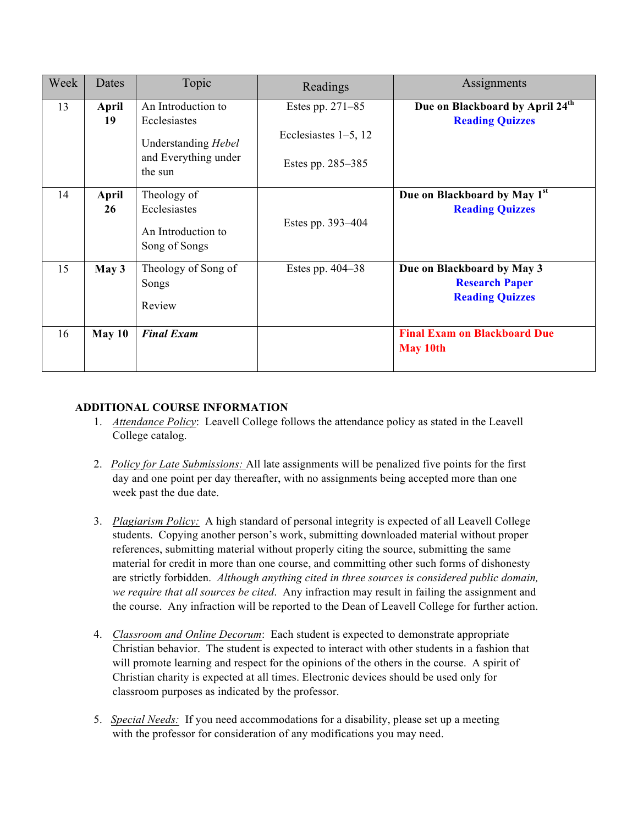| Week | Dates       | Topic                                                                                        | Readings                                                         | Assignments                                                                   |
|------|-------------|----------------------------------------------------------------------------------------------|------------------------------------------------------------------|-------------------------------------------------------------------------------|
| 13   | April<br>19 | An Introduction to<br>Ecclesiastes<br>Understanding Hebel<br>and Everything under<br>the sun | Estes pp. 271-85<br>Ecclesiastes $1-5$ , 12<br>Estes pp. 285–385 | Due on Blackboard by April 24 <sup>th</sup><br><b>Reading Quizzes</b>         |
| 14   | April<br>26 | Theology of<br>Ecclesiastes<br>An Introduction to<br>Song of Songs                           | Estes pp. 393–404                                                | Due on Blackboard by May 1st<br><b>Reading Quizzes</b>                        |
| 15   | May 3       | Theology of Song of<br>Songs<br>Review                                                       | Estes pp. $404-38$                                               | Due on Blackboard by May 3<br><b>Research Paper</b><br><b>Reading Quizzes</b> |
| 16   | May 10      | <b>Final Exam</b>                                                                            |                                                                  | <b>Final Exam on Blackboard Due</b><br><b>May 10th</b>                        |

# **ADDITIONAL COURSE INFORMATION**

- 1. *Attendance Policy*: Leavell College follows the attendance policy as stated in the Leavell College catalog.
- 2. *Policy for Late Submissions:* All late assignments will be penalized five points for the first day and one point per day thereafter, with no assignments being accepted more than one week past the due date.
- 3. *Plagiarism Policy:* A high standard of personal integrity is expected of all Leavell College students. Copying another person's work, submitting downloaded material without proper references, submitting material without properly citing the source, submitting the same material for credit in more than one course, and committing other such forms of dishonesty are strictly forbidden. *Although anything cited in three sources is considered public domain, we require that all sources be cited*. Any infraction may result in failing the assignment and the course. Any infraction will be reported to the Dean of Leavell College for further action.
- 4. *Classroom and Online Decorum*: Each student is expected to demonstrate appropriate Christian behavior. The student is expected to interact with other students in a fashion that will promote learning and respect for the opinions of the others in the course. A spirit of Christian charity is expected at all times. Electronic devices should be used only for classroom purposes as indicated by the professor.
- 5. *Special Needs:* If you need accommodations for a disability, please set up a meeting with the professor for consideration of any modifications you may need.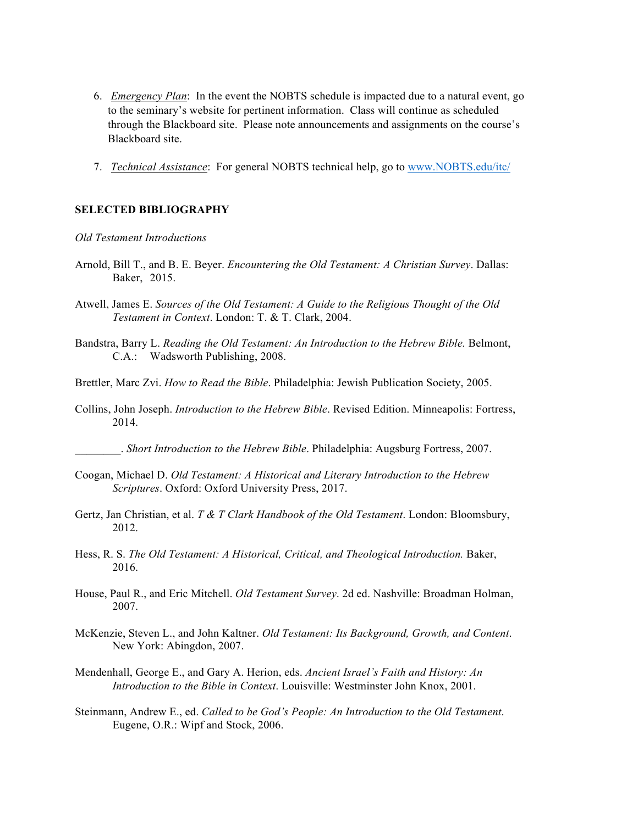- 6. *Emergency Plan*: In the event the NOBTS schedule is impacted due to a natural event, go to the seminary's website for pertinent information. Class will continue as scheduled through the Blackboard site. Please note announcements and assignments on the course's Blackboard site.
- 7. *Technical Assistance*: For general NOBTS technical help, go to www.NOBTS.edu/itc/

## **SELECTED BIBLIOGRAPHY**

*Old Testament Introductions*

- Arnold, Bill T., and B. E. Beyer. *Encountering the Old Testament: A Christian Survey*. Dallas: Baker, 2015.
- Atwell, James E. *Sources of the Old Testament: A Guide to the Religious Thought of the Old Testament in Context*. London: T. & T. Clark, 2004.
- Bandstra, Barry L. *Reading the Old Testament: An Introduction to the Hebrew Bible.* Belmont, C.A.: Wadsworth Publishing, 2008.
- Brettler, Marc Zvi. *How to Read the Bible*. Philadelphia: Jewish Publication Society, 2005.
- Collins, John Joseph. *Introduction to the Hebrew Bible*. Revised Edition. Minneapolis: Fortress, 2014.

\_\_\_\_\_\_\_\_. *Short Introduction to the Hebrew Bible*. Philadelphia: Augsburg Fortress, 2007.

- Coogan, Michael D. *Old Testament: A Historical and Literary Introduction to the Hebrew Scriptures*. Oxford: Oxford University Press, 2017.
- Gertz, Jan Christian, et al. *T & T Clark Handbook of the Old Testament*. London: Bloomsbury, 2012.
- Hess, R. S. *The Old Testament: A Historical, Critical, and Theological Introduction.* Baker, 2016.
- House, Paul R., and Eric Mitchell. *Old Testament Survey*. 2d ed. Nashville: Broadman Holman, 2007.
- McKenzie, Steven L., and John Kaltner. *Old Testament: Its Background, Growth, and Content*. New York: Abingdon, 2007.
- Mendenhall, George E., and Gary A. Herion, eds. *Ancient Israel's Faith and History: An Introduction to the Bible in Context*. Louisville: Westminster John Knox, 2001.
- Steinmann, Andrew E., ed. *Called to be God's People: An Introduction to the Old Testament*. Eugene, O.R.: Wipf and Stock, 2006.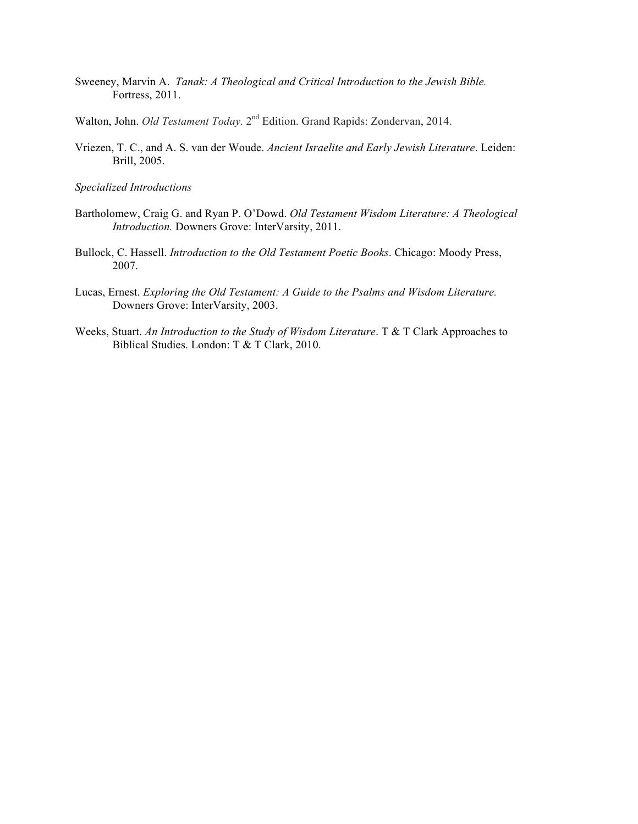- Sweeney, Marvin A. *Tanak: A Theological and Critical Introduction to the Jewish Bible.* Fortress, 2011.
- Walton, John. *Old Testament Today*. 2<sup>nd</sup> Edition. Grand Rapids: Zondervan, 2014.
- Vriezen, T. C., and A. S. van der Woude. *Ancient Israelite and Early Jewish Literature*. Leiden: Brill, 2005.

- Bartholomew, Craig G. and Ryan P. O'Dowd. *Old Testament Wisdom Literature: A Theological Introduction.* Downers Grove: InterVarsity, 2011.
- Bullock, C. Hassell. *Introduction to the Old Testament Poetic Books*. Chicago: Moody Press, 2007.
- Lucas, Ernest. *Exploring the Old Testament: A Guide to the Psalms and Wisdom Literature.* Downers Grove: InterVarsity, 2003.
- Weeks, Stuart. *An Introduction to the Study of Wisdom Literature*. T & T Clark Approaches to Biblical Studies. London: T & T Clark, 2010.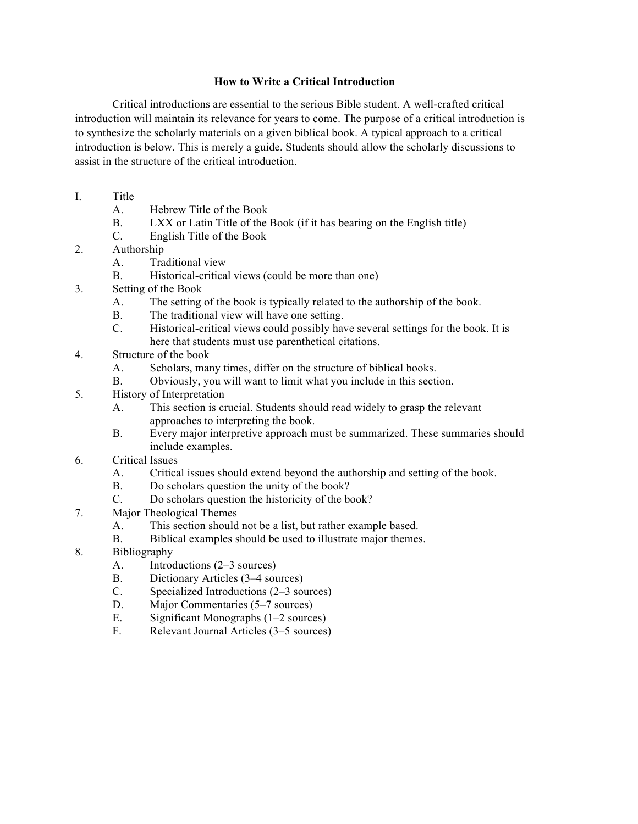# **How to Write a Critical Introduction**

Critical introductions are essential to the serious Bible student. A well-crafted critical introduction will maintain its relevance for years to come. The purpose of a critical introduction is to synthesize the scholarly materials on a given biblical book. A typical approach to a critical introduction is below. This is merely a guide. Students should allow the scholarly discussions to assist in the structure of the critical introduction.

- I. Title
	- A. Hebrew Title of the Book
	- B. LXX or Latin Title of the Book (if it has bearing on the English title)
	- C. English Title of the Book
- 2. Authorship
	- A. Traditional view
	- B. Historical-critical views (could be more than one)
- 3. Setting of the Book
	- A. The setting of the book is typically related to the authorship of the book.
	- B. The traditional view will have one setting.
	- C. Historical-critical views could possibly have several settings for the book. It is here that students must use parenthetical citations.
- 4. Structure of the book
	- A. Scholars, many times, differ on the structure of biblical books.
	- B. Obviously, you will want to limit what you include in this section.
- 5. History of Interpretation
	- A. This section is crucial. Students should read widely to grasp the relevant approaches to interpreting the book.
	- B. Every major interpretive approach must be summarized. These summaries should include examples.
- 6. Critical Issues
	- A. Critical issues should extend beyond the authorship and setting of the book.
	- B. Do scholars question the unity of the book?
	- C. Do scholars question the historicity of the book?
- 7. Major Theological Themes
	- A. This section should not be a list, but rather example based.
	- B. Biblical examples should be used to illustrate major themes.
- 8. Bibliography
	- A. Introductions (2–3 sources)
	- B. Dictionary Articles (3–4 sources)
	- C. Specialized Introductions (2–3 sources)
	- D. Major Commentaries (5–7 sources)
	- E. Significant Monographs (1–2 sources)
	- F. Relevant Journal Articles (3–5 sources)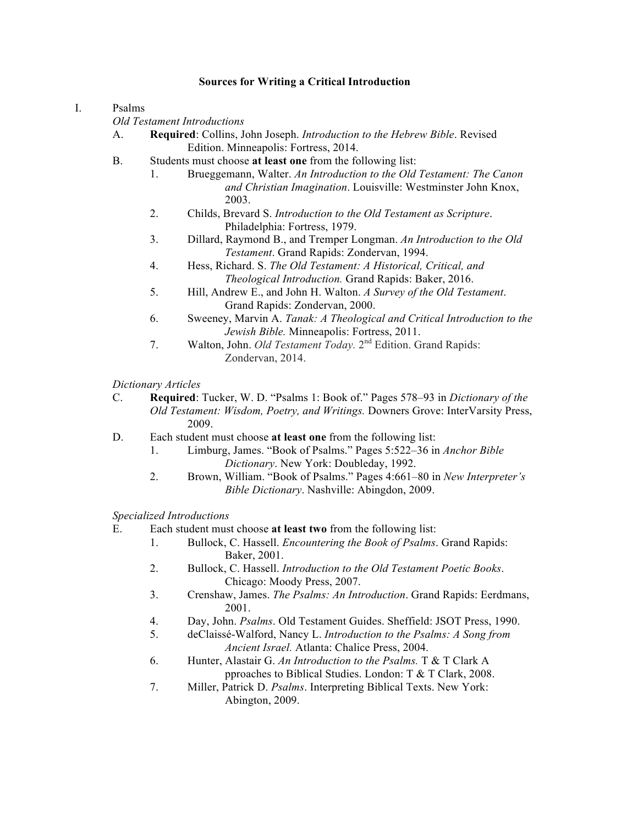#### I. Psalms

*Old Testament Introductions*

- A. **Required**: Collins, John Joseph. *Introduction to the Hebrew Bible*. Revised Edition. Minneapolis: Fortress, 2014.
- B. Students must choose **at least one** from the following list:
	- 1. Brueggemann, Walter. *An Introduction to the Old Testament: The Canon and Christian Imagination*. Louisville: Westminster John Knox, 2003.
	- 2. Childs, Brevard S. *Introduction to the Old Testament as Scripture*. Philadelphia: Fortress, 1979.
	- 3. Dillard, Raymond B., and Tremper Longman. *An Introduction to the Old Testament*. Grand Rapids: Zondervan, 1994.
	- 4. Hess, Richard. S. *The Old Testament: A Historical, Critical, and Theological Introduction.* Grand Rapids: Baker, 2016.
	- 5. Hill, Andrew E., and John H. Walton. *A Survey of the Old Testament*. Grand Rapids: Zondervan, 2000.
	- 6. Sweeney, Marvin A. *Tanak: A Theological and Critical Introduction to the Jewish Bible.* Minneapolis: Fortress, 2011.
	- 7. Walton, John. *Old Testament Today.* 2nd Edition. Grand Rapids: Zondervan, 2014.

*Dictionary Articles*

- C. **Required**: Tucker, W. D. "Psalms 1: Book of." Pages 578–93 in *Dictionary of the Old Testament: Wisdom, Poetry, and Writings.* Downers Grove: InterVarsity Press, 2009.
- D. Each student must choose **at least one** from the following list:
	- 1. Limburg, James. "Book of Psalms." Pages 5:522–36 in *Anchor Bible Dictionary*. New York: Doubleday, 1992.
	- 2. Brown, William. "Book of Psalms." Pages 4:661–80 in *New Interpreter's Bible Dictionary*. Nashville: Abingdon, 2009.

*Specialized Introductions* 

E. Each student must choose **at least two** from the following list:

- 1. Bullock, C. Hassell. *Encountering the Book of Psalms*. Grand Rapids: Baker, 2001.
- 2. Bullock, C. Hassell. *Introduction to the Old Testament Poetic Books*. Chicago: Moody Press, 2007.
- 3. Crenshaw, James. *The Psalms: An Introduction*. Grand Rapids: Eerdmans, 2001.
- 4. Day, John. *Psalms*. Old Testament Guides. Sheffield: JSOT Press, 1990.
- 5. deClaissé-Walford, Nancy L. *Introduction to the Psalms: A Song from Ancient Israel.* Atlanta: Chalice Press, 2004.
- 6. Hunter, Alastair G. *An Introduction to the Psalms.* T & T Clark A pproaches to Biblical Studies. London: T & T Clark, 2008.
- 7. Miller, Patrick D. *Psalms*. Interpreting Biblical Texts. New York: Abington, 2009.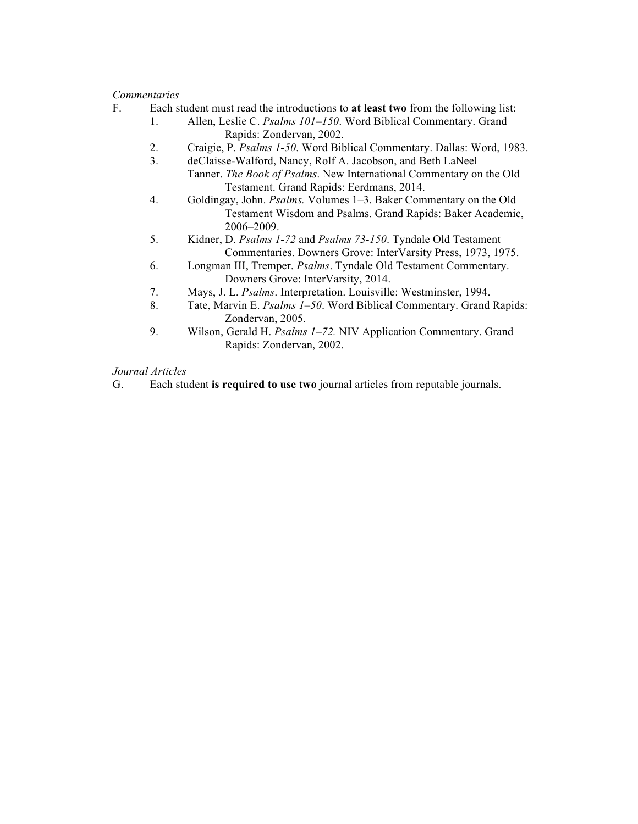- F. Each student must read the introductions to **at least two** from the following list:
	- 1. Allen, Leslie C. *Psalms 101–150*. Word Biblical Commentary. Grand Rapids: Zondervan, 2002.
	- 2. Craigie, P. *Psalms 1-50*. Word Biblical Commentary. Dallas: Word, 1983.
	- 3. deClaisse-Walford, Nancy, Rolf A. Jacobson, and Beth LaNeel Tanner. *The Book of Psalms*. New International Commentary on the Old

Testament. Grand Rapids: Eerdmans, 2014.

- 4. Goldingay, John. *Psalms.* Volumes 1–3. Baker Commentary on the Old Testament Wisdom and Psalms. Grand Rapids: Baker Academic, 2006–2009.
- 5. Kidner, D. *Psalms 1-72* and *Psalms 73-150*. Tyndale Old Testament Commentaries. Downers Grove: InterVarsity Press, 1973, 1975.
- 6. Longman III, Tremper. *Psalms*. Tyndale Old Testament Commentary. Downers Grove: InterVarsity, 2014.
- 7. Mays, J. L. *Psalms*. Interpretation. Louisville: Westminster, 1994.
- 8. Tate, Marvin E. *Psalms 1–50*. Word Biblical Commentary. Grand Rapids: Zondervan, 2005.
- 9. Wilson, Gerald H. *Psalms 1–72.* NIV Application Commentary. Grand Rapids: Zondervan, 2002.

# *Journal Articles*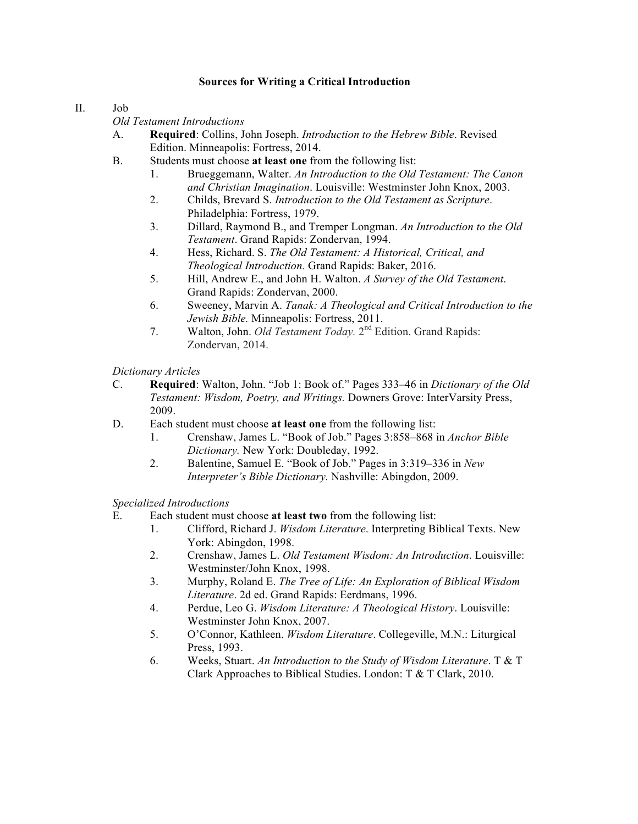## II. Job

*Old Testament Introductions*

- A. **Required**: Collins, John Joseph. *Introduction to the Hebrew Bible*. Revised Edition. Minneapolis: Fortress, 2014.
- B. Students must choose **at least one** from the following list:
	- 1. Brueggemann, Walter. *An Introduction to the Old Testament: The Canon and Christian Imagination*. Louisville: Westminster John Knox, 2003.
	- 2. Childs, Brevard S. *Introduction to the Old Testament as Scripture*. Philadelphia: Fortress, 1979.
	- 3. Dillard, Raymond B., and Tremper Longman. *An Introduction to the Old Testament*. Grand Rapids: Zondervan, 1994.
	- 4. Hess, Richard. S. *The Old Testament: A Historical, Critical, and Theological Introduction.* Grand Rapids: Baker, 2016.
	- 5. Hill, Andrew E., and John H. Walton. *A Survey of the Old Testament*. Grand Rapids: Zondervan, 2000.
	- 6. Sweeney, Marvin A. *Tanak: A Theological and Critical Introduction to the Jewish Bible.* Minneapolis: Fortress, 2011.
	- 7. Walton, John. *Old Testament Today*. 2<sup>nd</sup> Edition. Grand Rapids: Zondervan, 2014.

*Dictionary Articles*

- C. **Required**: Walton, John. "Job 1: Book of." Pages 333–46 in *Dictionary of the Old Testament: Wisdom, Poetry, and Writings.* Downers Grove: InterVarsity Press, 2009.
- D. Each student must choose **at least one** from the following list:
	- 1. Crenshaw, James L. "Book of Job." Pages 3:858–868 in *Anchor Bible Dictionary.* New York: Doubleday, 1992.
	- 2. Balentine, Samuel E. "Book of Job." Pages in 3:319–336 in *New Interpreter's Bible Dictionary.* Nashville: Abingdon, 2009.

- E. Each student must choose **at least two** from the following list:
	- 1. Clifford, Richard J. *Wisdom Literature*. Interpreting Biblical Texts. New York: Abingdon, 1998.
	- 2. Crenshaw, James L. *Old Testament Wisdom: An Introduction*. Louisville: Westminster/John Knox, 1998.
	- 3. Murphy, Roland E. *The Tree of Life: An Exploration of Biblical Wisdom Literature*. 2d ed. Grand Rapids: Eerdmans, 1996.
	- 4. Perdue, Leo G. *Wisdom Literature: A Theological History*. Louisville: Westminster John Knox, 2007.
	- 5. O'Connor, Kathleen. *Wisdom Literature*. Collegeville, M.N.: Liturgical Press, 1993.
	- 6. Weeks, Stuart. *An Introduction to the Study of Wisdom Literature*. T & T Clark Approaches to Biblical Studies. London: T & T Clark, 2010.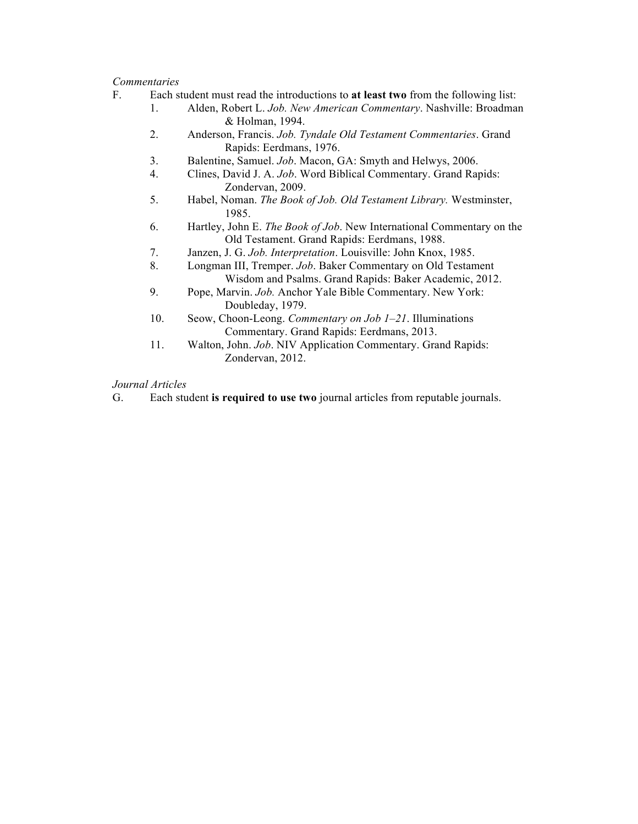- F. Each student must read the introductions to **at least two** from the following list:
	- 1. Alden, Robert L. *Job. New American Commentary*. Nashville: Broadman & Holman, 1994.
	- 2. Anderson, Francis. *Job. Tyndale Old Testament Commentaries*. Grand Rapids: Eerdmans, 1976.
	- 3. Balentine, Samuel. *Job*. Macon, GA: Smyth and Helwys, 2006.
	- 4. Clines, David J. A. *Job*. Word Biblical Commentary. Grand Rapids: Zondervan, 2009.
	- 5. Habel, Noman. *The Book of Job. Old Testament Library.* Westminster, 1985.
	- 6. Hartley, John E. *The Book of Job*. New International Commentary on the Old Testament. Grand Rapids: Eerdmans, 1988.
	- 7. Janzen, J. G. *Job. Interpretation*. Louisville: John Knox, 1985.
	- 8. Longman III, Tremper. *Job*. Baker Commentary on Old Testament Wisdom and Psalms. Grand Rapids: Baker Academic, 2012.
	- 9. Pope, Marvin. *Job.* Anchor Yale Bible Commentary. New York: Doubleday, 1979.
	- 10. Seow, Choon-Leong. *Commentary on Job 1–21*. Illuminations Commentary. Grand Rapids: Eerdmans, 2013.
	- 11. Walton, John. *Job*. NIV Application Commentary. Grand Rapids: Zondervan, 2012.

# *Journal Articles*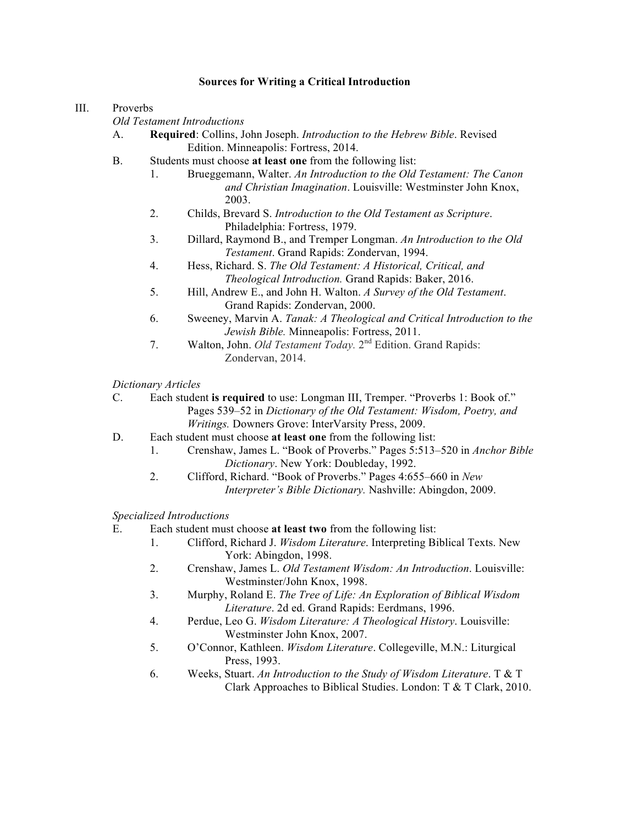#### III. Proverbs

*Old Testament Introductions*

- A. **Required**: Collins, John Joseph. *Introduction to the Hebrew Bible*. Revised Edition. Minneapolis: Fortress, 2014.
- B. Students must choose **at least one** from the following list:
	- 1. Brueggemann, Walter. *An Introduction to the Old Testament: The Canon and Christian Imagination*. Louisville: Westminster John Knox, 2003.
	- 2. Childs, Brevard S. *Introduction to the Old Testament as Scripture*. Philadelphia: Fortress, 1979.
	- 3. Dillard, Raymond B., and Tremper Longman. *An Introduction to the Old Testament*. Grand Rapids: Zondervan, 1994.
	- 4. Hess, Richard. S. *The Old Testament: A Historical, Critical, and Theological Introduction.* Grand Rapids: Baker, 2016.
	- 5. Hill, Andrew E., and John H. Walton. *A Survey of the Old Testament*. Grand Rapids: Zondervan, 2000.
	- 6. Sweeney, Marvin A. *Tanak: A Theological and Critical Introduction to the Jewish Bible.* Minneapolis: Fortress, 2011.
	- 7. Walton, John. *Old Testament Today.* 2nd Edition. Grand Rapids: Zondervan, 2014.

*Dictionary Articles*

C. Each student **is required** to use: Longman III, Tremper. "Proverbs 1: Book of." Pages 539–52 in *Dictionary of the Old Testament: Wisdom, Poetry, and Writings.* Downers Grove: InterVarsity Press, 2009.

- D. Each student must choose **at least one** from the following list:
	- 1. Crenshaw, James L. "Book of Proverbs." Pages 5:513–520 in *Anchor Bible Dictionary*. New York: Doubleday, 1992.
	- 2. Clifford, Richard. "Book of Proverbs." Pages 4:655–660 in *New Interpreter's Bible Dictionary.* Nashville: Abingdon, 2009.

- E. Each student must choose **at least two** from the following list:
	- 1. Clifford, Richard J. *Wisdom Literature*. Interpreting Biblical Texts. New York: Abingdon, 1998.
	- 2. Crenshaw, James L. *Old Testament Wisdom: An Introduction*. Louisville: Westminster/John Knox, 1998.
	- 3. Murphy, Roland E. *The Tree of Life: An Exploration of Biblical Wisdom Literature*. 2d ed. Grand Rapids: Eerdmans, 1996.
	- 4. Perdue, Leo G. *Wisdom Literature: A Theological History*. Louisville: Westminster John Knox, 2007.
	- 5. O'Connor, Kathleen. *Wisdom Literature*. Collegeville, M.N.: Liturgical Press, 1993.
	- 6. Weeks, Stuart. *An Introduction to the Study of Wisdom Literature*. T & T Clark Approaches to Biblical Studies. London: T & T Clark, 2010.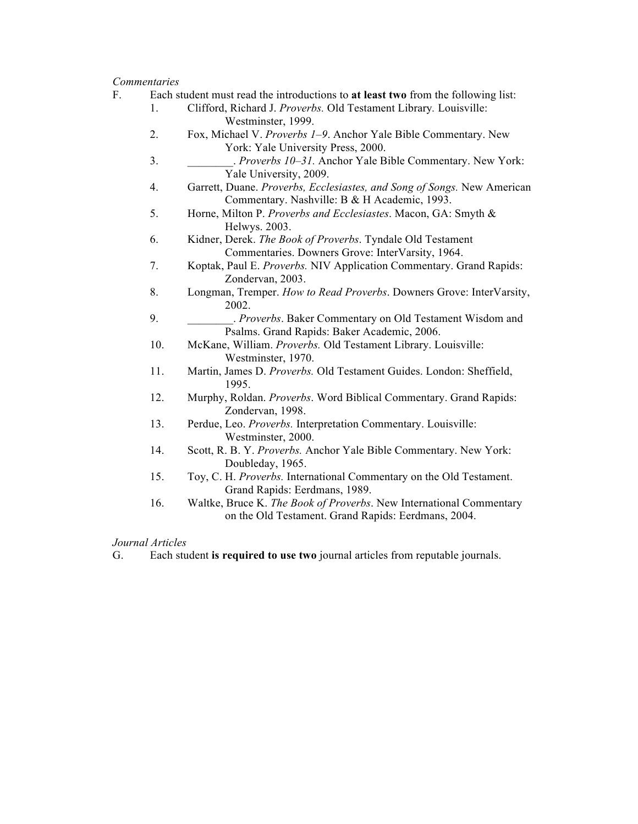- F. Each student must read the introductions to **at least two** from the following list:
	- 1. Clifford, Richard J. *Proverbs.* Old Testament Library*.* Louisville: Westminster, 1999.
	- 2. Fox, Michael V. *Proverbs 1–9*. Anchor Yale Bible Commentary. New York: Yale University Press, 2000.
	- 3. \_\_\_\_\_\_\_\_. *Proverbs 10–31.* Anchor Yale Bible Commentary. New York: Yale University, 2009.
	- 4. Garrett, Duane. *Proverbs, Ecclesiastes, and Song of Songs.* New American Commentary. Nashville: B & H Academic, 1993.
	- 5. Horne, Milton P. *Proverbs and Ecclesiastes*. Macon, GA: Smyth & Helwys. 2003.
	- 6. Kidner, Derek. *The Book of Proverbs*. Tyndale Old Testament Commentaries. Downers Grove: InterVarsity, 1964.
	- 7. Koptak, Paul E. *Proverbs.* NIV Application Commentary. Grand Rapids: Zondervan, 2003.
	- 8. Longman, Tremper. *How to Read Proverbs*. Downers Grove: InterVarsity, 2002.
	- 9. \_\_\_\_\_\_\_\_. *Proverbs*. Baker Commentary on Old Testament Wisdom and Psalms. Grand Rapids: Baker Academic, 2006.
	- 10. McKane, William. *Proverbs.* Old Testament Library. Louisville: Westminster, 1970.
	- 11. Martin, James D. *Proverbs.* Old Testament Guides. London: Sheffield, 1995.
	- 12. Murphy, Roldan. *Proverbs*. Word Biblical Commentary. Grand Rapids: Zondervan, 1998.
	- 13. Perdue, Leo. *Proverbs.* Interpretation Commentary. Louisville: Westminster, 2000.
	- 14. Scott, R. B. Y. *Proverbs.* Anchor Yale Bible Commentary. New York: Doubleday, 1965.
	- 15. Toy, C. H. *Proverbs.* International Commentary on the Old Testament. Grand Rapids: Eerdmans, 1989.
	- 16. Waltke, Bruce K. *The Book of Proverbs*. New International Commentary on the Old Testament. Grand Rapids: Eerdmans, 2004.

*Journal Articles*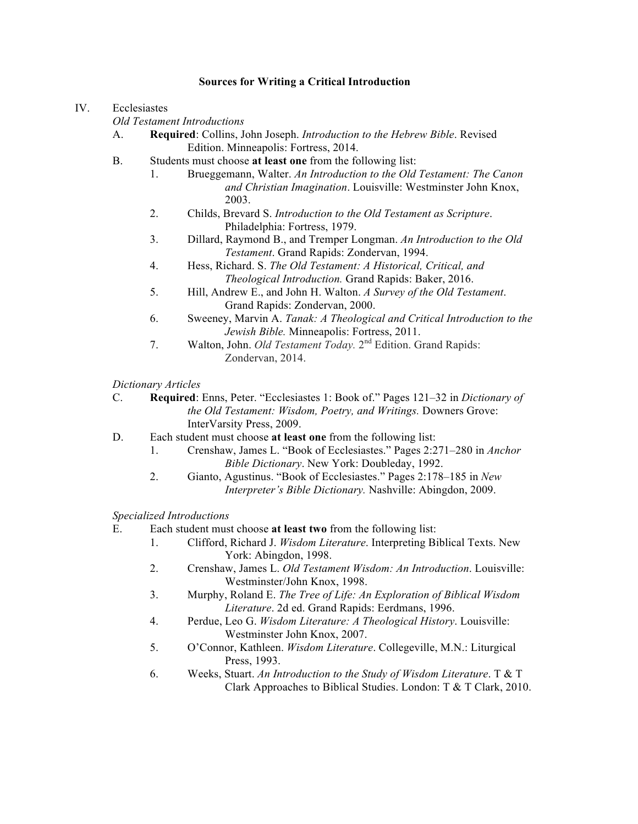#### IV. Ecclesiastes

*Old Testament Introductions*

- A. **Required**: Collins, John Joseph. *Introduction to the Hebrew Bible*. Revised Edition. Minneapolis: Fortress, 2014.
- B. Students must choose **at least one** from the following list:
	- 1. Brueggemann, Walter. *An Introduction to the Old Testament: The Canon and Christian Imagination*. Louisville: Westminster John Knox, 2003.
	- 2. Childs, Brevard S. *Introduction to the Old Testament as Scripture*. Philadelphia: Fortress, 1979.
	- 3. Dillard, Raymond B., and Tremper Longman. *An Introduction to the Old Testament*. Grand Rapids: Zondervan, 1994.
	- 4. Hess, Richard. S. *The Old Testament: A Historical, Critical, and Theological Introduction.* Grand Rapids: Baker, 2016.
	- 5. Hill, Andrew E., and John H. Walton. *A Survey of the Old Testament*. Grand Rapids: Zondervan, 2000.
	- 6. Sweeney, Marvin A. *Tanak: A Theological and Critical Introduction to the Jewish Bible.* Minneapolis: Fortress, 2011.
	- 7. Walton, John. *Old Testament Today.* 2nd Edition. Grand Rapids: Zondervan, 2014.

*Dictionary Articles*

C. **Required**: Enns, Peter. "Ecclesiastes 1: Book of." Pages 121–32 in *Dictionary of the Old Testament: Wisdom, Poetry, and Writings.* Downers Grove: InterVarsity Press, 2009.

- D. Each student must choose **at least one** from the following list:
	- 1. Crenshaw, James L. "Book of Ecclesiastes." Pages 2:271–280 in *Anchor Bible Dictionary*. New York: Doubleday, 1992.
	- 2. Gianto, Agustinus. "Book of Ecclesiastes." Pages 2:178–185 in *New Interpreter's Bible Dictionary.* Nashville: Abingdon, 2009.

- E. Each student must choose **at least two** from the following list:
	- 1. Clifford, Richard J. *Wisdom Literature*. Interpreting Biblical Texts. New York: Abingdon, 1998.
	- 2. Crenshaw, James L. *Old Testament Wisdom: An Introduction*. Louisville: Westminster/John Knox, 1998.
	- 3. Murphy, Roland E. *The Tree of Life: An Exploration of Biblical Wisdom Literature*. 2d ed. Grand Rapids: Eerdmans, 1996.
	- 4. Perdue, Leo G. *Wisdom Literature: A Theological History*. Louisville: Westminster John Knox, 2007.
	- 5. O'Connor, Kathleen. *Wisdom Literature*. Collegeville, M.N.: Liturgical Press, 1993.
	- 6. Weeks, Stuart. *An Introduction to the Study of Wisdom Literature*. T & T Clark Approaches to Biblical Studies. London: T & T Clark, 2010.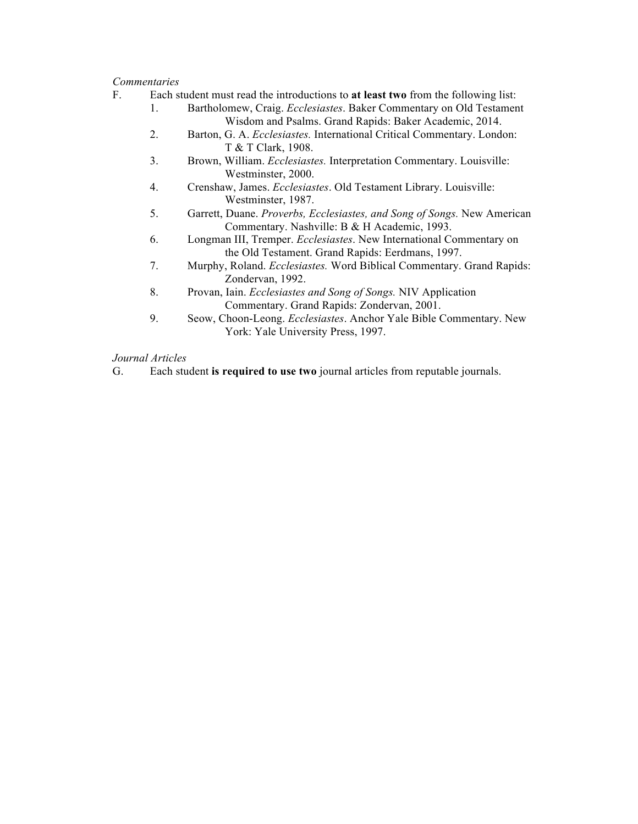- F. Each student must read the introductions to **at least two** from the following list:
	- 1. Bartholomew, Craig. *Ecclesiastes*. Baker Commentary on Old Testament Wisdom and Psalms. Grand Rapids: Baker Academic, 2014.
	- 2. Barton, G. A. *Ecclesiastes.* International Critical Commentary. London: T & T Clark, 1908.
	- 3. Brown, William. *Ecclesiastes.* Interpretation Commentary. Louisville: Westminster, 2000.
	- 4. Crenshaw, James. *Ecclesiastes*. Old Testament Library. Louisville: Westminster, 1987.
	- 5. Garrett, Duane. *Proverbs, Ecclesiastes, and Song of Songs.* New American Commentary. Nashville: B & H Academic, 1993.
	- 6. Longman III, Tremper. *Ecclesiastes*. New International Commentary on the Old Testament. Grand Rapids: Eerdmans, 1997.
	- 7. Murphy, Roland. *Ecclesiastes.* Word Biblical Commentary. Grand Rapids: Zondervan, 1992.
	- 8. Provan, Iain. *Ecclesiastes and Song of Songs.* NIV Application Commentary. Grand Rapids: Zondervan, 2001.
	- 9. Seow, Choon-Leong. *Ecclesiastes*. Anchor Yale Bible Commentary. New York: Yale University Press, 1997.

## *Journal Articles*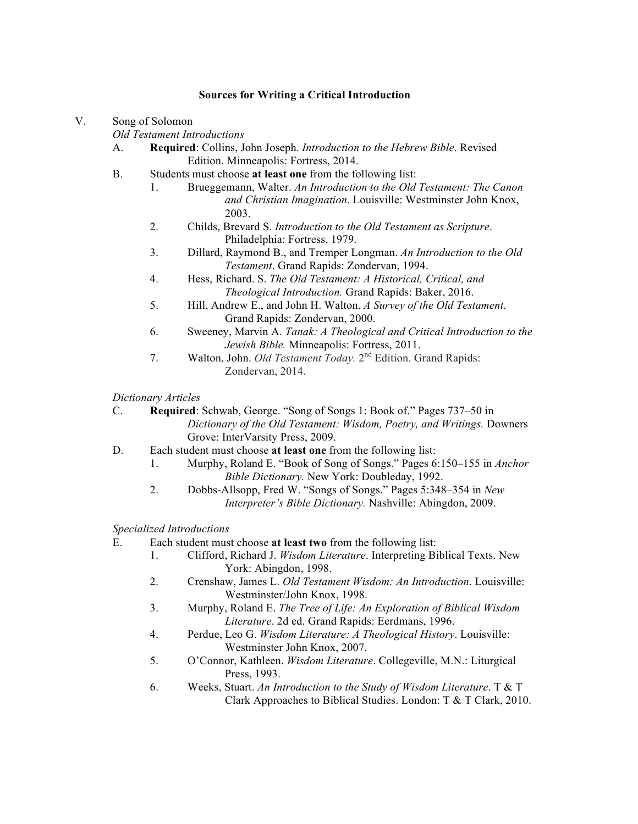V. Song of Solomon

*Old Testament Introductions*

- A. **Required**: Collins, John Joseph. *Introduction to the Hebrew Bible*. Revised Edition. Minneapolis: Fortress, 2014.
- B. Students must choose **at least one** from the following list:
	- 1. Brueggemann, Walter. *An Introduction to the Old Testament: The Canon and Christian Imagination*. Louisville: Westminster John Knox, 2003.
	- 2. Childs, Brevard S. *Introduction to the Old Testament as Scripture*. Philadelphia: Fortress, 1979.
	- 3. Dillard, Raymond B., and Tremper Longman. *An Introduction to the Old Testament*. Grand Rapids: Zondervan, 1994.
	- 4. Hess, Richard. S. *The Old Testament: A Historical, Critical, and Theological Introduction.* Grand Rapids: Baker, 2016.
	- 5. Hill, Andrew E., and John H. Walton. *A Survey of the Old Testament*. Grand Rapids: Zondervan, 2000.
	- 6. Sweeney, Marvin A. *Tanak: A Theological and Critical Introduction to the Jewish Bible.* Minneapolis: Fortress, 2011.
	- 7. Walton, John. *Old Testament Today.* 2nd Edition. Grand Rapids: Zondervan, 2014.

*Dictionary Articles*

- C. **Required**: Schwab, George. "Song of Songs 1: Book of." Pages 737–50 in *Dictionary of the Old Testament: Wisdom, Poetry, and Writings.* Downers Grove: InterVarsity Press, 2009.
- D. Each student must choose **at least one** from the following list:
	- 1. Murphy, Roland E. "Book of Song of Songs." Pages 6:150–155 in *Anchor Bible Dictionary.* New York: Doubleday, 1992.
	- 2. Dobbs-Allsopp, Fred W. "Songs of Songs." Pages 5:348–354 in *New Interpreter's Bible Dictionary.* Nashville: Abingdon, 2009.

- E. Each student must choose **at least two** from the following list:
	- 1. Clifford, Richard J. *Wisdom Literature*. Interpreting Biblical Texts. New York: Abingdon, 1998.
	- 2. Crenshaw, James L. *Old Testament Wisdom: An Introduction*. Louisville: Westminster/John Knox, 1998.
	- 3. Murphy, Roland E. *The Tree of Life: An Exploration of Biblical Wisdom Literature*. 2d ed. Grand Rapids: Eerdmans, 1996.
	- 4. Perdue, Leo G. *Wisdom Literature: A Theological History*. Louisville: Westminster John Knox, 2007.
	- 5. O'Connor, Kathleen. *Wisdom Literature*. Collegeville, M.N.: Liturgical Press, 1993.
	- 6. Weeks, Stuart. *An Introduction to the Study of Wisdom Literature*. T & T Clark Approaches to Biblical Studies. London: T & T Clark, 2010.